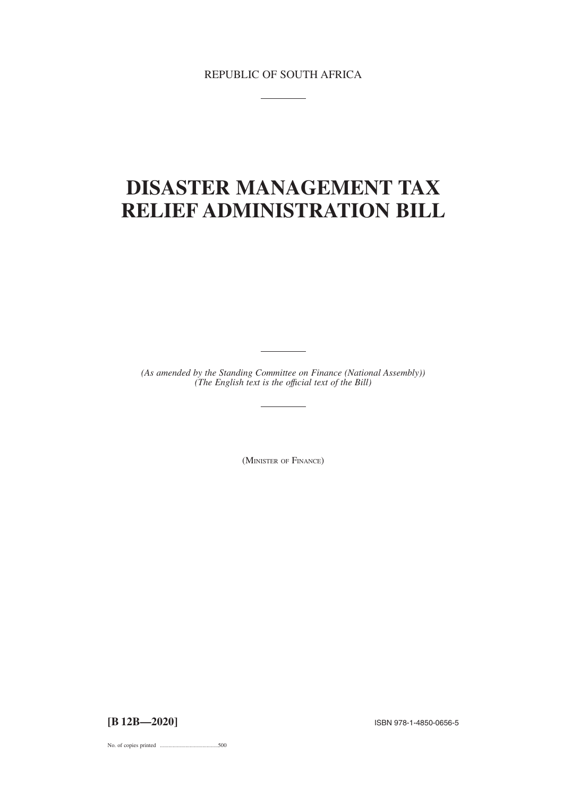REPUBLIC OF SOUTH AFRICA

# **DISASTER MANAGEMENT TAX RELIEF ADMINISTRATION BILL**

*(As amended by the Standing Committee on Finance (National Assembly)) (The English text is the offıcial text of the Bill)*

(MINISTER OF FINANCE)

**[B 12B—2020]** ISBN 978-1-4850-0656-<sup>5</sup>

No. of copies printed .........................................500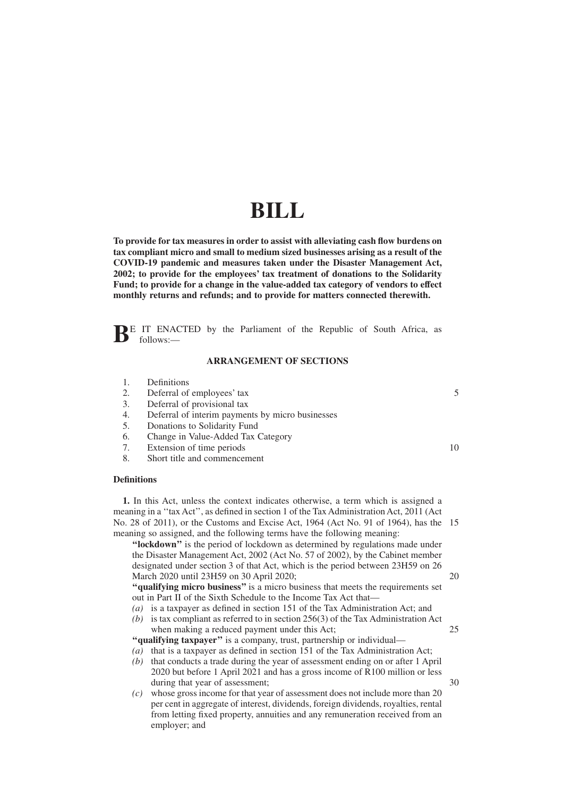# **BILL**

**To provide for tax measures in order to assist with alleviating cash flow burdens on tax compliant micro and small to medium sized businesses arising as a result of the COVID-19 pandemic and measures taken under the Disaster Management Act, 2002; to provide for the employees' tax treatment of donations to the Solidarity Fund; to provide for a change in the value-added tax category of vendors to effect monthly returns and refunds; and to provide for matters connected therewith.**

**BE** IT ENACTED by the Parliament of the Republic of South Africa, as follows:—

#### **ARRANGEMENT OF SECTIONS**

- 1. Definitions
- 2. Deferral of employees' tax
- 3. Deferral of provisional tax
- 4. Deferral of interim payments by micro businesses
- 5. Donations to Solidarity Fund
- 6. Change in Value-Added Tax Category
- 7. Extension of time periods
- 8. Short title and commencement

#### **Definitions**

**1.** In this Act, unless the context indicates otherwise, a term which is assigned a meaning in a ''tax Act'', as defined in section 1 of the Tax Administration Act, 2011 (Act No. 28 of 2011), or the Customs and Excise Act, 1964 (Act No. 91 of 1964), has the 15 meaning so assigned, and the following terms have the following meaning:

**''lockdown''** is the period of lockdown as determined by regulations made under the Disaster Management Act, 2002 (Act No. 57 of 2002), by the Cabinet member designated under section 3 of that Act, which is the period between 23H59 on 26 March 2020 until 23H59 on 30 April 2020;

**''qualifying micro business''** is a micro business that meets the requirements set out in Part II of the Sixth Schedule to the Income Tax Act that—

- *(a)* is a taxpayer as defined in section 151 of the Tax Administration Act; and
- *(b)* is tax compliant as referred to in section 256(3) of the Tax Administration Act when making a reduced payment under this Act;

**''qualifying taxpayer''** is a company, trust, partnership or individual—

- *(a)* that is a taxpayer as defined in section 151 of the Tax Administration Act;
- *(b)* that conducts a trade during the year of assessment ending on or after 1 April 2020 but before 1 April 2021 and has a gross income of R100 million or less during that year of assessment;
- *(c)* whose gross income for that year of assessment does not include more than 20 per cent in aggregate of interest, dividends, foreign dividends, royalties, rental from letting fixed property, annuities and any remuneration received from an employer; and

10

5

25

20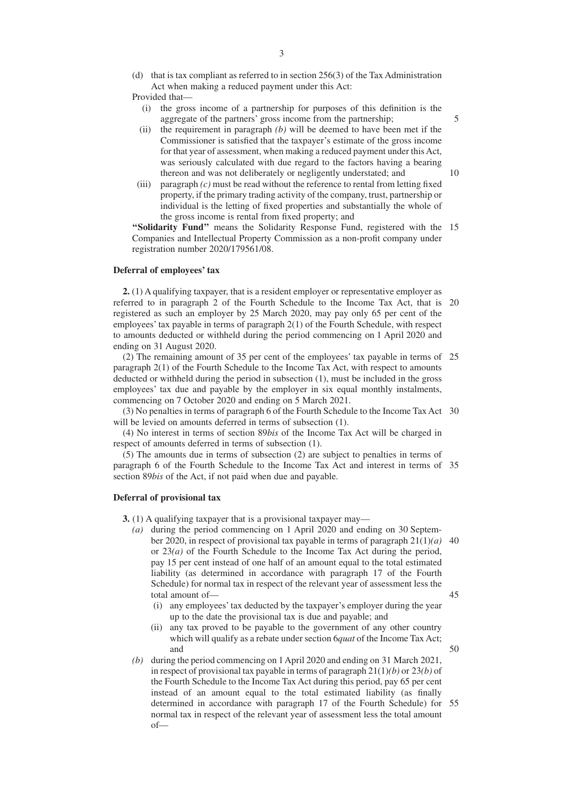- (d) that is tax compliant as referred to in section 256(3) of the Tax Administration Act when making a reduced payment under this Act:
- Provided that—
	- (i) the gross income of a partnership for purposes of this definition is the aggregate of the partners' gross income from the partnership;
	- (ii) the requirement in paragraph *(b)* will be deemed to have been met if the Commissioner is satisfied that the taxpayer's estimate of the gross income for that year of assessment, when making a reduced payment under this Act, was seriously calculated with due regard to the factors having a bearing thereon and was not deliberately or negligently understated; and
- (iii) paragraph *(c)* must be read without the reference to rental from letting fixed property, if the primary trading activity of the company, trust, partnership or individual is the letting of fixed properties and substantially the whole of the gross income is rental from fixed property; and

"Solidarity Fund" means the Solidarity Response Fund, registered with the 15 Companies and Intellectual Property Commission as a non-profit company under registration number 2020/179561/08.

#### **Deferral of employees' tax**

**2.** (1) A qualifying taxpayer, that is a resident employer or representative employer as referred to in paragraph 2 of the Fourth Schedule to the Income Tax Act, that is 20 registered as such an employer by 25 March 2020, may pay only 65 per cent of the employees' tax payable in terms of paragraph 2(1) of the Fourth Schedule, with respect to amounts deducted or withheld during the period commencing on 1 April 2020 and ending on 31 August 2020.

(2) The remaining amount of 35 per cent of the employees' tax payable in terms of 25 paragraph 2(1) of the Fourth Schedule to the Income Tax Act, with respect to amounts deducted or withheld during the period in subsection (1), must be included in the gross employees' tax due and payable by the employer in six equal monthly instalments, commencing on 7 October 2020 and ending on 5 March 2021.

(3) No penalties in terms of paragraph 6 of the Fourth Schedule to the Income Tax Act 30 will be levied on amounts deferred in terms of subsection  $(1)$ .

(4) No interest in terms of section 89*bis* of the Income Tax Act will be charged in respect of amounts deferred in terms of subsection (1).

(5) The amounts due in terms of subsection (2) are subject to penalties in terms of paragraph 6 of the Fourth Schedule to the Income Tax Act and interest in terms of 35 section 89*bis* of the Act, if not paid when due and payable.

## **Deferral of provisional tax**

**3.** (1) A qualifying taxpayer that is a provisional taxpayer may—

- *(a)* during the period commencing on 1 April 2020 and ending on 30 September 2020, in respect of provisional tax payable in terms of paragraph 21(1)*(a)* 40 or 23*(a)* of the Fourth Schedule to the Income Tax Act during the period, pay 15 per cent instead of one half of an amount equal to the total estimated liability (as determined in accordance with paragraph 17 of the Fourth Schedule) for normal tax in respect of the relevant year of assessment less the total amount of—
	- 45

50

- (i) any employees' tax deducted by the taxpayer's employer during the year up to the date the provisional tax is due and payable; and
- (ii) any tax proved to be payable to the government of any other country which will qualify as a rebate under section 6*quat* of the Income Tax Act; and
- *(b)* during the period commencing on 1 April 2020 and ending on 31 March 2021, in respect of provisional tax payable in terms of paragraph 21(1)*(b)* or 23*(b)* of the Fourth Schedule to the Income Tax Act during this period, pay 65 per cent instead of an amount equal to the total estimated liability (as finally determined in accordance with paragraph 17 of the Fourth Schedule) for 55normal tax in respect of the relevant year of assessment less the total amount of—

5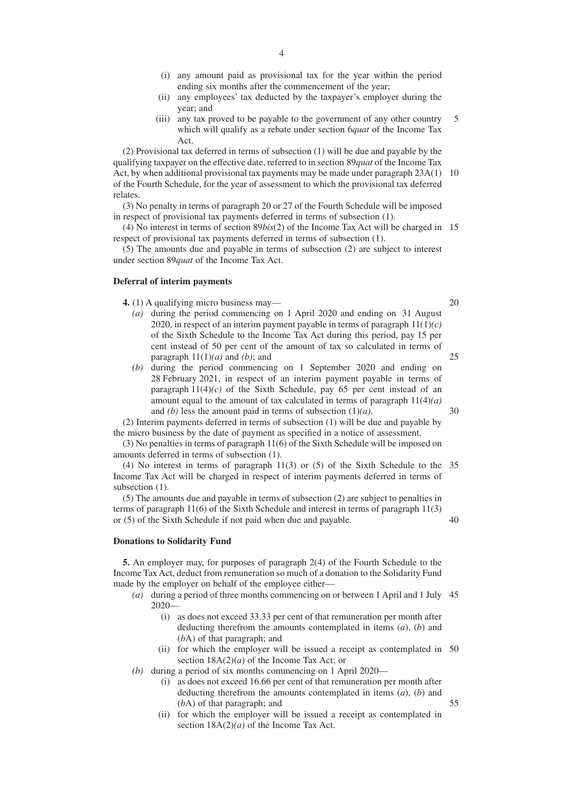- (i) any amount paid as provisional tax for the year within the period ending six months after the commencement of the year;
- (ii) any employees' tax deducted by the taxpayer's employer during the year; and
- (iii) any tax proved to be payable to the government of any other country which will qualify as a rebate under section 6*quat* of the Income Tax Act. 5

(2) Provisional tax deferred in terms of subsection (1) will be due and payable by the qualifying taxpayer on the effective date, referred to in section 89*quat* of the Income Tax Act, by when additional provisional tax payments may be made under paragraph 23A(1) 10 of the Fourth Schedule, for the year of assessment to which the provisional tax deferred relates.

(3) No penalty in terms of paragraph 20 or 27 of the Fourth Schedule will be imposed in respect of provisional tax payments deferred in terms of subsection (1).

(4) No interest in terms of section 89*bis*(2) of the Income Tax Act will be charged in 15 respect of provisional tax payments deferred in terms of subsection (1).

(5) The amounts due and payable in terms of subsection (2) are subject to interest under section 89*quat* of the Income Tax Act.

#### **Deferral of interim payments**

**4.** (1) A qualifying micro business may—

- *(a)* during the period commencing on 1 April 2020 and ending on 31 August 2020, in respect of an interim payment payable in terms of paragraph 11(1)*(c)* of the Sixth Schedule to the Income Tax Act during this period, pay 15 per cent instead of 50 per cent of the amount of tax so calculated in terms of paragraph  $11(1)(a)$  and *(b)*; and
- *(b)* during the period commencing on 1 September 2020 and ending on 28 February 2021, in respect of an interim payment payable in terms of paragraph  $11(4)(c)$  of the Sixth Schedule, pay 65 per cent instead of an amount equal to the amount of tax calculated in terms of paragraph 11(4)*(a)* and *(b)* less the amount paid in terms of subsection (1)*(a)*.

(2) Interim payments deferred in terms of subsection (1) will be due and payable by the micro business by the date of payment as specified in a notice of assessment.

(3) No penalties in terms of paragraph 11(6) of the Sixth Schedule will be imposed on amounts deferred in terms of subsection (1).

(4) No interest in terms of paragraph 11(3) or (5) of the Sixth Schedule to the 35 Income Tax Act will be charged in respect of interim payments deferred in terms of subsection  $(1)$ .

(5) The amounts due and payable in terms of subsection (2) are subject to penalties in terms of paragraph 11(6) of the Sixth Schedule and interest in terms of paragraph 11(3) or (5) of the Sixth Schedule if not paid when due and payable.

#### **Donations to Solidarity Fund**

**5.** An employer may, for purposes of paragraph 2(4) of the Fourth Schedule to the Income Tax Act, deduct from remuneration so much of a donation to the Solidarity Fund made by the employer on behalf of the employee either—

- *(a)* during a period of three months commencing on or between 1 April and 1 July 45 2020—
	- (i) as does not exceed 33.33 per cent of that remuneration per month after deducting therefrom the amounts contemplated in items (*a*), (*b*) and (*b*A) of that paragraph; and
	- (ii) for which the employer will be issued a receipt as contemplated in 50 section 18A(2)(*a*) of the Income Tax Act; or
- *(b)* during a period of six months commencing on 1 April 2020—
	- (i) as does not exceed 16.66 per cent of that remuneration per month after deducting therefrom the amounts contemplated in items (*a*), (*b*) and (*b*A) of that paragraph; and
	- (ii) for which the employer will be issued a receipt as contemplated in section 18A(2)*(a)* of the Income Tax Act.

20

25

30

40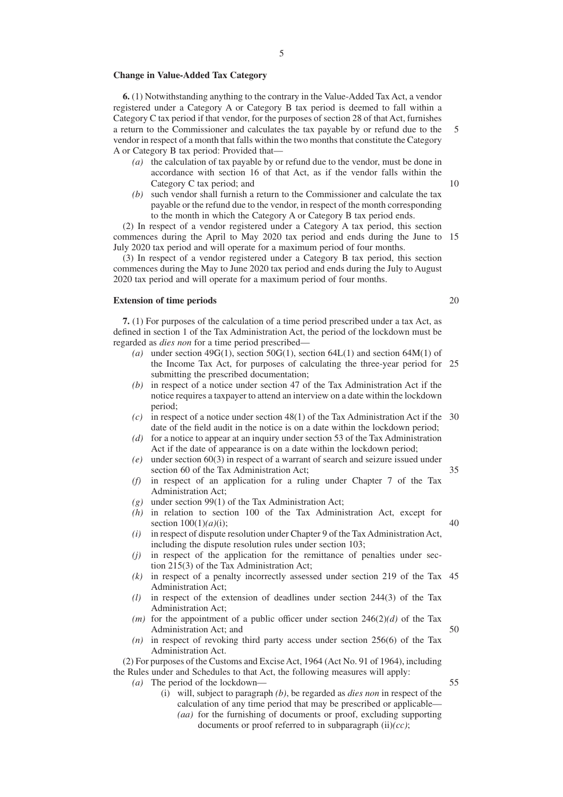#### **Change in Value-Added Tax Category**

**6.** (1) Notwithstanding anything to the contrary in the Value-Added Tax Act, a vendor registered under a Category A or Category B tax period is deemed to fall within a Category C tax period if that vendor, for the purposes of section 28 of that Act, furnishes a return to the Commissioner and calculates the tax payable by or refund due to the vendor in respect of a month that falls within the two months that constitute the Category A or Category B tax period: Provided that—

- *(a)* the calculation of tax payable by or refund due to the vendor, must be done in accordance with section 16 of that Act, as if the vendor falls within the Category C tax period; and
- *(b)* such vendor shall furnish a return to the Commissioner and calculate the tax payable or the refund due to the vendor, in respect of the month corresponding to the month in which the Category A or Category B tax period ends.

(2) In respect of a vendor registered under a Category A tax period, this section commences during the April to May 2020 tax period and ends during the June to 15 July 2020 tax period and will operate for a maximum period of four months.

(3) In respect of a vendor registered under a Category B tax period, this section commences during the May to June 2020 tax period and ends during the July to August 2020 tax period and will operate for a maximum period of four months.

#### **Extension of time periods**

**7.** (1) For purposes of the calculation of a time period prescribed under a tax Act, as defined in section 1 of the Tax Administration Act, the period of the lockdown must be regarded as *dies non* for a time period prescribed—

- (a) under section  $49G(1)$ , section  $50G(1)$ , section  $64L(1)$  and section  $64M(1)$  of the Income Tax Act, for purposes of calculating the three-year period for 25 submitting the prescribed documentation;
- *(b)* in respect of a notice under section 47 of the Tax Administration Act if the notice requires a taxpayer to attend an interview on a date within the lockdown period;
- *(c)* in respect of a notice under section 48(1) of the Tax Administration Act if the 30 date of the field audit in the notice is on a date within the lockdown period;
- *(d)* for a notice to appear at an inquiry under section 53 of the Tax Administration Act if the date of appearance is on a date within the lockdown period;
- *(e)* under section 60(3) in respect of a warrant of search and seizure issued under section 60 of the Tax Administration Act;
- *(f)* in respect of an application for a ruling under Chapter 7 of the Tax Administration Act;
- *(g)* under section 99(1) of the Tax Administration Act;
- *(h)* in relation to section 100 of the Tax Administration Act, except for section 100(1)*(a)*(i); 40
- *(i)* in respect of dispute resolution under Chapter 9 of the Tax Administration Act, including the dispute resolution rules under section 103;
- *(j)* in respect of the application for the remittance of penalties under section 215(3) of the Tax Administration Act;
- *(k)* in respect of a penalty incorrectly assessed under section 219 of the Tax 45 Administration Act;
- *(l)* in respect of the extension of deadlines under section 244(3) of the Tax Administration Act;
- *(m)* for the appointment of a public officer under section  $246(2)(d)$  of the Tax Administration Act; and 50
- *(n)* in respect of revoking third party access under section 256(6) of the Tax Administration Act.

(2) For purposes of the Customs and Excise Act, 1964 (Act No. 91 of 1964), including the Rules under and Schedules to that Act, the following measures will apply:

*(a)* The period of the lockdown—

- (i) will, subject to paragraph *(b)*, be regarded as *dies non* in respect of the calculation of any time period that may be prescribed or applicable—
	- *(aa)* for the furnishing of documents or proof, excluding supporting documents or proof referred to in subparagraph (ii)*(cc)*;

20

35

55

5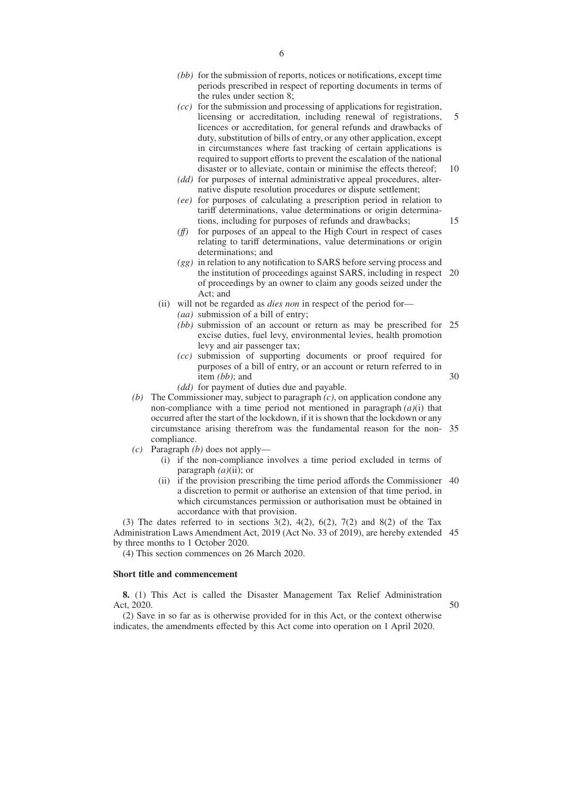- *(bb)* for the submission of reports, notices or notifications, except time periods prescribed in respect of reporting documents in terms of the rules under section 8;
- *(cc)* for the submission and processing of applications for registration, licensing or accreditation, including renewal of registrations, licences or accreditation, for general refunds and drawbacks of duty, substitution of bills of entry, or any other application, except in circumstances where fast tracking of certain applications is required to support efforts to prevent the escalation of the national disaster or to alleviate, contain or minimise the effects thereof; 5 10
- *(dd)* for purposes of internal administrative appeal procedures, alternative dispute resolution procedures or dispute settlement;
- *(ee)* for purposes of calculating a prescription period in relation to tariff determinations, value determinations or origin determinations, including for purposes of refunds and drawbacks;
- *(ff)* for purposes of an appeal to the High Court in respect of cases relating to tariff determinations, value determinations or origin determinations; and
- *(gg)* in relation to any notification to SARS before serving process and the institution of proceedings against SARS, including in respect 20 of proceedings by an owner to claim any goods seized under the Act; and
- (ii) will not be regarded as *dies non* in respect of the period for—
	- *(aa)* submission of a bill of entry;
	- *(bb)* submission of an account or return as may be prescribed for 25 excise duties, fuel levy, environmental levies, health promotion levy and air passenger tax;
	- *(cc)* submission of supporting documents or proof required for purposes of a bill of entry, or an account or return referred to in item *(bb)*; and

30

15

- *(dd)* for payment of duties due and payable.
- *(b)* The Commissioner may, subject to paragraph *(c)*, on application condone any non-compliance with a time period not mentioned in paragraph *(a)*(i) that occurred after the start of the lockdown, if it is shown that the lockdown or any circumstance arising therefrom was the fundamental reason for the non-35 compliance.
- *(c)* Paragraph *(b)* does not apply—
	- (i) if the non-compliance involves a time period excluded in terms of paragraph *(a)*(ii); or
	- (ii) if the provision prescribing the time period affords the Commissioner 40 a discretion to permit or authorise an extension of that time period, in which circumstances permission or authorisation must be obtained in accordance with that provision.

(3) The dates referred to in sections  $3(2)$ ,  $4(2)$ ,  $6(2)$ ,  $7(2)$  and  $8(2)$  of the Tax Administration Laws Amendment Act, 2019 (Act No. 33 of 2019), are hereby extended 45 by three months to 1 October 2020.

(4) This section commences on 26 March 2020.

## **Short title and commencement**

**8.** (1) This Act is called the Disaster Management Tax Relief Administration Act, 2020.

50

(2) Save in so far as is otherwise provided for in this Act, or the context otherwise indicates, the amendments effected by this Act come into operation on 1 April 2020.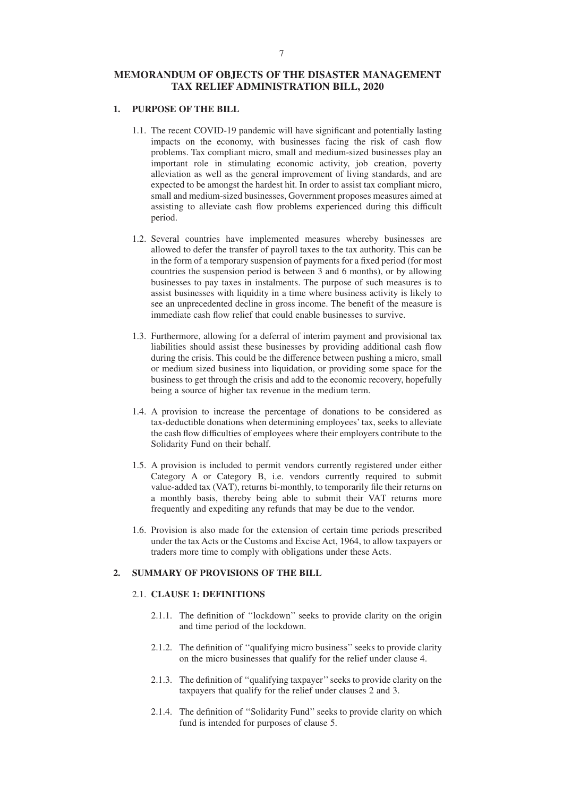# **MEMORANDUM OF OBJECTS OF THE DISASTER MANAGEMENT TAX RELIEF ADMINISTRATION BILL, 2020**

# **1. PURPOSE OF THE BILL**

- 1.1. The recent COVID-19 pandemic will have significant and potentially lasting impacts on the economy, with businesses facing the risk of cash flow problems. Tax compliant micro, small and medium-sized businesses play an important role in stimulating economic activity, job creation, poverty alleviation as well as the general improvement of living standards, and are expected to be amongst the hardest hit. In order to assist tax compliant micro, small and medium-sized businesses, Government proposes measures aimed at assisting to alleviate cash flow problems experienced during this difficult period.
- 1.2. Several countries have implemented measures whereby businesses are allowed to defer the transfer of payroll taxes to the tax authority. This can be in the form of a temporary suspension of payments for a fixed period (for most countries the suspension period is between 3 and 6 months), or by allowing businesses to pay taxes in instalments. The purpose of such measures is to assist businesses with liquidity in a time where business activity is likely to see an unprecedented decline in gross income. The benefit of the measure is immediate cash flow relief that could enable businesses to survive.
- 1.3. Furthermore, allowing for a deferral of interim payment and provisional tax liabilities should assist these businesses by providing additional cash flow during the crisis. This could be the difference between pushing a micro, small or medium sized business into liquidation, or providing some space for the business to get through the crisis and add to the economic recovery, hopefully being a source of higher tax revenue in the medium term.
- 1.4. A provision to increase the percentage of donations to be considered as tax-deductible donations when determining employees' tax, seeks to alleviate the cash flow difficulties of employees where their employers contribute to the Solidarity Fund on their behalf.
- 1.5. A provision is included to permit vendors currently registered under either Category A or Category B, i.e. vendors currently required to submit value-added tax (VAT), returns bi-monthly, to temporarily file their returns on a monthly basis, thereby being able to submit their VAT returns more frequently and expediting any refunds that may be due to the vendor.
- 1.6. Provision is also made for the extension of certain time periods prescribed under the tax Acts or the Customs and Excise Act, 1964, to allow taxpayers or traders more time to comply with obligations under these Acts.

#### **2. SUMMARY OF PROVISIONS OF THE BILL**

## 2.1. **CLAUSE 1: DEFINITIONS**

- 2.1.1. The definition of ''lockdown'' seeks to provide clarity on the origin and time period of the lockdown.
- 2.1.2. The definition of ''qualifying micro business'' seeks to provide clarity on the micro businesses that qualify for the relief under clause 4.
- 2.1.3. The definition of ''qualifying taxpayer'' seeks to provide clarity on the taxpayers that qualify for the relief under clauses 2 and 3.
- 2.1.4. The definition of ''Solidarity Fund'' seeks to provide clarity on which fund is intended for purposes of clause 5.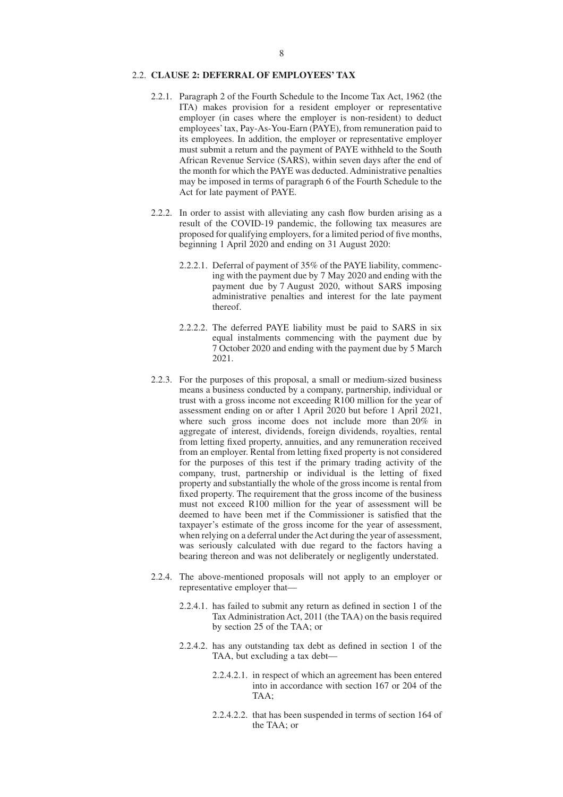### 2.2. **CLAUSE 2: DEFERRAL OF EMPLOYEES' TAX**

- 2.2.1. Paragraph 2 of the Fourth Schedule to the Income Tax Act, 1962 (the ITA) makes provision for a resident employer or representative employer (in cases where the employer is non-resident) to deduct employees' tax, Pay-As-You-Earn (PAYE), from remuneration paid to its employees. In addition, the employer or representative employer must submit a return and the payment of PAYE withheld to the South African Revenue Service (SARS), within seven days after the end of the month for which the PAYE was deducted. Administrative penalties may be imposed in terms of paragraph 6 of the Fourth Schedule to the Act for late payment of PAYE.
- 2.2.2. In order to assist with alleviating any cash flow burden arising as a result of the COVID-19 pandemic, the following tax measures are proposed for qualifying employers, for a limited period of five months, beginning 1 April 2020 and ending on 31 August 2020:
	- 2.2.2.1. Deferral of payment of 35% of the PAYE liability, commencing with the payment due by 7 May 2020 and ending with the payment due by 7 August 2020, without SARS imposing administrative penalties and interest for the late payment thereof.
	- 2.2.2.2. The deferred PAYE liability must be paid to SARS in six equal instalments commencing with the payment due by 7 October 2020 and ending with the payment due by 5 March 2021.
- 2.2.3. For the purposes of this proposal, a small or medium-sized business means a business conducted by a company, partnership, individual or trust with a gross income not exceeding R100 million for the year of assessment ending on or after 1 April 2020 but before 1 April 2021, where such gross income does not include more than 20% in aggregate of interest, dividends, foreign dividends, royalties, rental from letting fixed property, annuities, and any remuneration received from an employer. Rental from letting fixed property is not considered for the purposes of this test if the primary trading activity of the company, trust, partnership or individual is the letting of fixed property and substantially the whole of the gross income is rental from fixed property. The requirement that the gross income of the business must not exceed R100 million for the year of assessment will be deemed to have been met if the Commissioner is satisfied that the taxpayer's estimate of the gross income for the year of assessment, when relying on a deferral under the Act during the year of assessment, was seriously calculated with due regard to the factors having a bearing thereon and was not deliberately or negligently understated.
- 2.2.4. The above-mentioned proposals will not apply to an employer or representative employer that—
	- 2.2.4.1. has failed to submit any return as defined in section 1 of the Tax Administration Act, 2011 (the TAA) on the basis required by section 25 of the TAA; or
	- 2.2.4.2. has any outstanding tax debt as defined in section 1 of the TAA, but excluding a tax debt—
		- 2.2.4.2.1. in respect of which an agreement has been entered into in accordance with section 167 or 204 of the TAA;
		- 2.2.4.2.2. that has been suspended in terms of section 164 of the TAA; or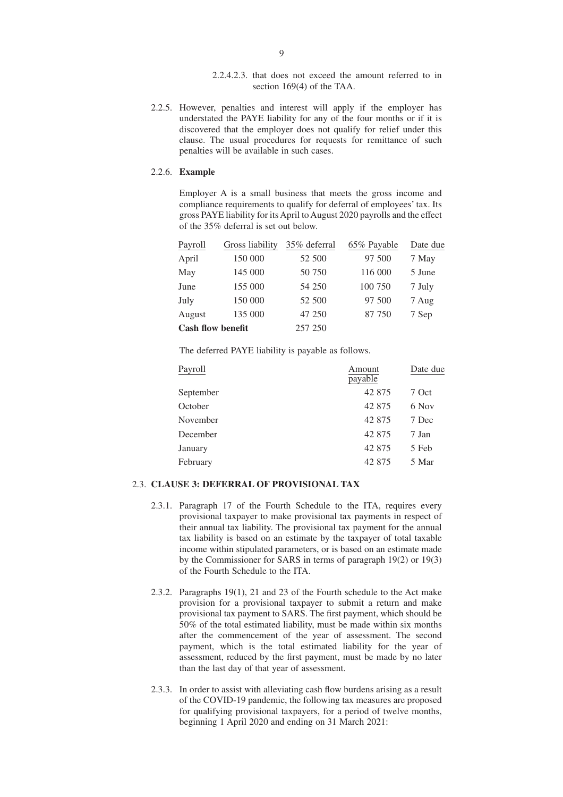2.2.4.2.3. that does not exceed the amount referred to in section 169(4) of the TAA.

2.2.5. However, penalties and interest will apply if the employer has understated the PAYE liability for any of the four months or if it is discovered that the employer does not qualify for relief under this clause. The usual procedures for requests for remittance of such penalties will be available in such cases.

## 2.2.6. **Example**

Employer A is a small business that meets the gross income and compliance requirements to qualify for deferral of employees' tax. Its gross PAYE liability for its April to August 2020 payrolls and the effect of the 35% deferral is set out below.

| Payroll                  | Gross liability | 35% deferral | 65% Payable | Date due |
|--------------------------|-----------------|--------------|-------------|----------|
| April                    | 150 000         | 52 500       | 97 500      | 7 May    |
| May                      | 145 000         | 50 750       | 116 000     | 5 June   |
| June                     | 155 000         | 54 250       | 100 750     | 7 July   |
| July                     | 150 000         | 52 500       | 97 500      | 7 Aug    |
| August                   | 135 000         | 47 250       | 87 750      | 7 Sep    |
| <b>Cash flow benefit</b> |                 | 257 250      |             |          |

The deferred PAYE liability is payable as follows.

| Payroll   | Amount<br>payable | Date due |  |
|-----------|-------------------|----------|--|
| September | 42 875            | 7 Oct    |  |
| October   | 42 875            | 6 Nov    |  |
| November  | 42 875            | 7 Dec    |  |
| December  | 42 875            | 7 Jan    |  |
| January   | 42 875            | 5 Feb    |  |
| February  | 42 875            | 5 Mar    |  |

# 2.3. **CLAUSE 3: DEFERRAL OF PROVISIONAL TAX**

- 2.3.1. Paragraph 17 of the Fourth Schedule to the ITA, requires every provisional taxpayer to make provisional tax payments in respect of their annual tax liability. The provisional tax payment for the annual tax liability is based on an estimate by the taxpayer of total taxable income within stipulated parameters, or is based on an estimate made by the Commissioner for SARS in terms of paragraph 19(2) or 19(3) of the Fourth Schedule to the ITA.
- 2.3.2. Paragraphs 19(1), 21 and 23 of the Fourth schedule to the Act make provision for a provisional taxpayer to submit a return and make provisional tax payment to SARS. The first payment, which should be 50% of the total estimated liability, must be made within six months after the commencement of the year of assessment. The second payment, which is the total estimated liability for the year of assessment, reduced by the first payment, must be made by no later than the last day of that year of assessment.
- 2.3.3. In order to assist with alleviating cash flow burdens arising as a result of the COVID-19 pandemic, the following tax measures are proposed for qualifying provisional taxpayers, for a period of twelve months, beginning 1 April 2020 and ending on 31 March 2021: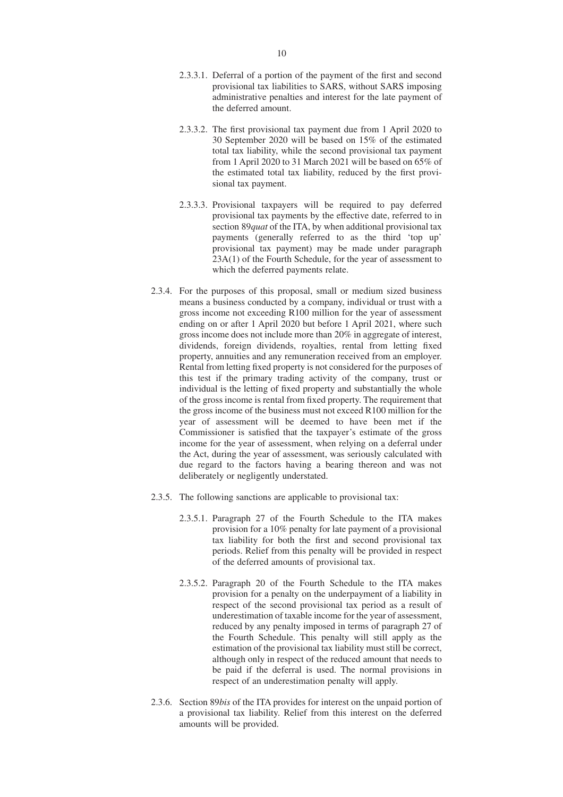- 2.3.3.1. Deferral of a portion of the payment of the first and second provisional tax liabilities to SARS, without SARS imposing administrative penalties and interest for the late payment of the deferred amount.
- 2.3.3.2. The first provisional tax payment due from 1 April 2020 to 30 September 2020 will be based on 15% of the estimated total tax liability, while the second provisional tax payment from 1 April 2020 to 31 March 2021 will be based on 65% of the estimated total tax liability, reduced by the first provisional tax payment.
- 2.3.3.3. Provisional taxpayers will be required to pay deferred provisional tax payments by the effective date, referred to in section 89*quat* of the ITA, by when additional provisional tax payments (generally referred to as the third 'top up' provisional tax payment) may be made under paragraph 23A(1) of the Fourth Schedule, for the year of assessment to which the deferred payments relate.
- 2.3.4. For the purposes of this proposal, small or medium sized business means a business conducted by a company, individual or trust with a gross income not exceeding R100 million for the year of assessment ending on or after 1 April 2020 but before 1 April 2021, where such gross income does not include more than 20% in aggregate of interest, dividends, foreign dividends, royalties, rental from letting fixed property, annuities and any remuneration received from an employer. Rental from letting fixed property is not considered for the purposes of this test if the primary trading activity of the company, trust or individual is the letting of fixed property and substantially the whole of the gross income is rental from fixed property. The requirement that the gross income of the business must not exceed R100 million for the year of assessment will be deemed to have been met if the Commissioner is satisfied that the taxpayer's estimate of the gross income for the year of assessment, when relying on a deferral under the Act, during the year of assessment, was seriously calculated with due regard to the factors having a bearing thereon and was not deliberately or negligently understated.
- 2.3.5. The following sanctions are applicable to provisional tax:
	- 2.3.5.1. Paragraph 27 of the Fourth Schedule to the ITA makes provision for a 10% penalty for late payment of a provisional tax liability for both the first and second provisional tax periods. Relief from this penalty will be provided in respect of the deferred amounts of provisional tax.
	- 2.3.5.2. Paragraph 20 of the Fourth Schedule to the ITA makes provision for a penalty on the underpayment of a liability in respect of the second provisional tax period as a result of underestimation of taxable income for the year of assessment, reduced by any penalty imposed in terms of paragraph 27 of the Fourth Schedule. This penalty will still apply as the estimation of the provisional tax liability must still be correct, although only in respect of the reduced amount that needs to be paid if the deferral is used. The normal provisions in respect of an underestimation penalty will apply.
- 2.3.6. Section 89*bis* of the ITA provides for interest on the unpaid portion of a provisional tax liability. Relief from this interest on the deferred amounts will be provided.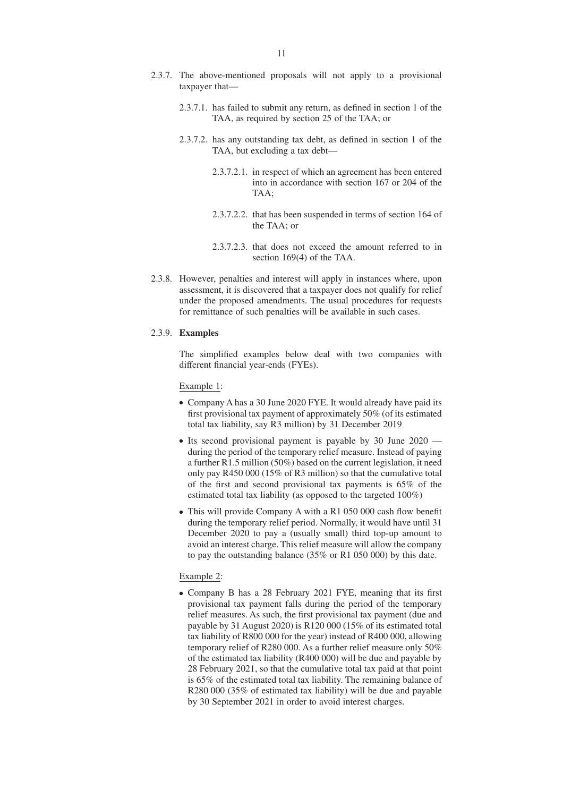- 2.3.7.1. has failed to submit any return, as defined in section 1 of the TAA, as required by section 25 of the TAA; or
- 2.3.7.2. has any outstanding tax debt, as defined in section 1 of the TAA, but excluding a tax debt—
	- 2.3.7.2.1. in respect of which an agreement has been entered into in accordance with section 167 or 204 of the TAA;
	- 2.3.7.2.2. that has been suspended in terms of section 164 of the TAA; or
	- 2.3.7.2.3. that does not exceed the amount referred to in section 169(4) of the TAA.
- 2.3.8. However, penalties and interest will apply in instances where, upon assessment, it is discovered that a taxpayer does not qualify for relief under the proposed amendments. The usual procedures for requests for remittance of such penalties will be available in such cases.

#### 2.3.9. **Examples**

The simplified examples below deal with two companies with different financial year-ends (FYEs).

Example 1:

- Company A has a 30 June 2020 FYE. It would already have paid its first provisional tax payment of approximately 50% (of its estimated total tax liability, say R3 million) by 31 December 2019
- Its second provisional payment is payable by 30 June 2020 during the period of the temporary relief measure. Instead of paying a further R1.5 million (50%) based on the current legislation, it need only pay R450 000 (15% of R3 million) so that the cumulative total of the first and second provisional tax payments is 65% of the estimated total tax liability (as opposed to the targeted 100%)
- This will provide Company A with a R1 050 000 cash flow benefit during the temporary relief period. Normally, it would have until 31 December 2020 to pay a (usually small) third top-up amount to avoid an interest charge. This relief measure will allow the company to pay the outstanding balance (35% or R1 050 000) by this date.

## Example 2:

 Company B has a 28 February 2021 FYE, meaning that its first provisional tax payment falls during the period of the temporary relief measures. As such, the first provisional tax payment (due and payable by 31 August 2020) is R120 000 (15% of its estimated total tax liability of R800 000 for the year) instead of R400 000, allowing temporary relief of R280 000. As a further relief measure only 50% of the estimated tax liability (R400 000) will be due and payable by 28 February 2021, so that the cumulative total tax paid at that point is 65% of the estimated total tax liability. The remaining balance of R280 000 (35% of estimated tax liability) will be due and payable by 30 September 2021 in order to avoid interest charges.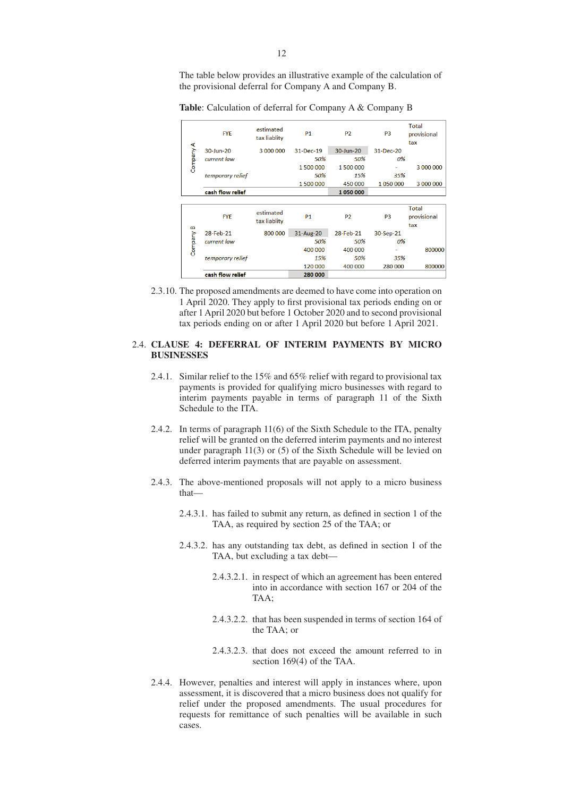The table below provides an illustrative example of the calculation of the provisional deferral for Company A and Company B.

**Table**: Calculation of deferral for Company A & Company B

| A Vrieduio   | <b>FYE</b>       | estimated<br>tax liablity | <b>P1</b> | P <sub>2</sub> | P <sub>3</sub> | <b>Total</b><br>provisional<br>tax |
|--------------|------------------|---------------------------|-----------|----------------|----------------|------------------------------------|
|              | 30-Jun-20        | 3 000 000                 | 31-Dec-19 | 30-Jun-20      | 31-Dec-20      |                                    |
|              | current law      |                           | 50%       | 50%            | 0%             |                                    |
|              |                  |                           | 1500000   | 1500000        |                | 3 000 000                          |
|              | temporary relief |                           | 50%       | 15%            | 35%            |                                    |
|              |                  |                           | 1500000   | 450 000        | 1050000        | 3 000 000                          |
|              | cash flow relief |                           |           | 1050000        |                |                                    |
|              |                  |                           |           |                |                |                                    |
| B<br>Vuedulo | <b>FYE</b>       | estimated<br>tax liablity | <b>P1</b> | P <sub>2</sub> | P <sub>3</sub> | <b>Total</b><br>provisional<br>tax |
|              | 28-Feb-21        | 800 000                   | 31-Aug-20 | 28-Feb-21      | 30-Sep-21      |                                    |
|              | current law      |                           | 50%       | 50%            | 0%             |                                    |
|              |                  |                           | 400 000   | 400 000        |                | 800000                             |
|              | temporary relief |                           | 15%       | 50%            | 35%            |                                    |
|              |                  |                           | 120 000   | 400 000        | 280 000        | 800000                             |
|              | cash flow relief |                           | 280 000   |                |                |                                    |

2.3.10. The proposed amendments are deemed to have come into operation on 1 April 2020. They apply to first provisional tax periods ending on or after 1 April 2020 but before 1 October 2020 and to second provisional tax periods ending on or after 1 April 2020 but before 1 April 2021.

## 2.4. **CLAUSE 4: DEFERRAL OF INTERIM PAYMENTS BY MICRO BUSINESSES**

- 2.4.1. Similar relief to the 15% and 65% relief with regard to provisional tax payments is provided for qualifying micro businesses with regard to interim payments payable in terms of paragraph 11 of the Sixth Schedule to the ITA.
- 2.4.2. In terms of paragraph 11(6) of the Sixth Schedule to the ITA, penalty relief will be granted on the deferred interim payments and no interest under paragraph 11(3) or (5) of the Sixth Schedule will be levied on deferred interim payments that are payable on assessment.
- 2.4.3. The above-mentioned proposals will not apply to a micro business that—
	- 2.4.3.1. has failed to submit any return, as defined in section 1 of the TAA, as required by section 25 of the TAA; or
	- 2.4.3.2. has any outstanding tax debt, as defined in section 1 of the TAA, but excluding a tax debt—
		- 2.4.3.2.1. in respect of which an agreement has been entered into in accordance with section 167 or 204 of the  $TAA$
		- 2.4.3.2.2. that has been suspended in terms of section 164 of the TAA; or
		- 2.4.3.2.3. that does not exceed the amount referred to in section 169(4) of the TAA.
- 2.4.4. However, penalties and interest will apply in instances where, upon assessment, it is discovered that a micro business does not qualify for relief under the proposed amendments. The usual procedures for requests for remittance of such penalties will be available in such cases.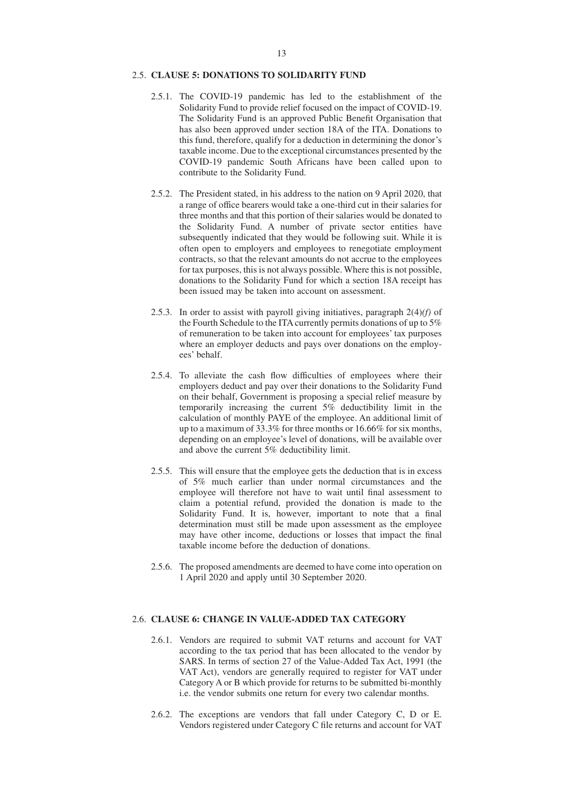# 2.5. **CLAUSE 5: DONATIONS TO SOLIDARITY FUND**

- 2.5.1. The COVID-19 pandemic has led to the establishment of the Solidarity Fund to provide relief focused on the impact of COVID-19. The Solidarity Fund is an approved Public Benefit Organisation that has also been approved under section 18A of the ITA. Donations to this fund, therefore, qualify for a deduction in determining the donor's taxable income. Due to the exceptional circumstances presented by the COVID-19 pandemic South Africans have been called upon to contribute to the Solidarity Fund.
- 2.5.2. The President stated, in his address to the nation on 9 April 2020, that a range of office bearers would take a one-third cut in their salaries for three months and that this portion of their salaries would be donated to the Solidarity Fund. A number of private sector entities have subsequently indicated that they would be following suit. While it is often open to employers and employees to renegotiate employment contracts, so that the relevant amounts do not accrue to the employees for tax purposes, this is not always possible. Where this is not possible, donations to the Solidarity Fund for which a section 18A receipt has been issued may be taken into account on assessment.
- 2.5.3. In order to assist with payroll giving initiatives, paragraph 2(4)*(f)* of the Fourth Schedule to the ITA currently permits donations of up to 5% of remuneration to be taken into account for employees' tax purposes where an employer deducts and pays over donations on the employees' behalf.
- 2.5.4. To alleviate the cash flow difficulties of employees where their employers deduct and pay over their donations to the Solidarity Fund on their behalf, Government is proposing a special relief measure by temporarily increasing the current 5% deductibility limit in the calculation of monthly PAYE of the employee. An additional limit of up to a maximum of 33.3% for three months or 16.66% for six months, depending on an employee's level of donations, will be available over and above the current 5% deductibility limit.
- 2.5.5. This will ensure that the employee gets the deduction that is in excess of 5% much earlier than under normal circumstances and the employee will therefore not have to wait until final assessment to claim a potential refund, provided the donation is made to the Solidarity Fund. It is, however, important to note that a final determination must still be made upon assessment as the employee may have other income, deductions or losses that impact the final taxable income before the deduction of donations.
- 2.5.6. The proposed amendments are deemed to have come into operation on 1 April 2020 and apply until 30 September 2020.

# 2.6. **CLAUSE 6: CHANGE IN VALUE-ADDED TAX CATEGORY**

- 2.6.1. Vendors are required to submit VAT returns and account for VAT according to the tax period that has been allocated to the vendor by SARS. In terms of section 27 of the Value-Added Tax Act, 1991 (the VAT Act), vendors are generally required to register for VAT under Category A or B which provide for returns to be submitted bi-monthly i.e. the vendor submits one return for every two calendar months.
- 2.6.2. The exceptions are vendors that fall under Category C, D or E. Vendors registered under Category C file returns and account for VAT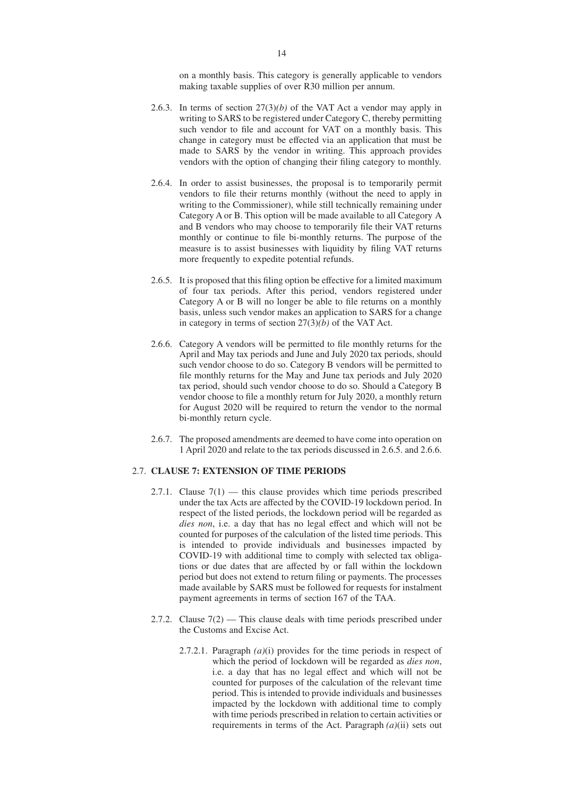on a monthly basis. This category is generally applicable to vendors making taxable supplies of over R30 million per annum.

- 2.6.3. In terms of section 27(3)*(b)* of the VAT Act a vendor may apply in writing to SARS to be registered under Category C, thereby permitting such vendor to file and account for VAT on a monthly basis. This change in category must be effected via an application that must be made to SARS by the vendor in writing. This approach provides vendors with the option of changing their filing category to monthly.
- 2.6.4. In order to assist businesses, the proposal is to temporarily permit vendors to file their returns monthly (without the need to apply in writing to the Commissioner), while still technically remaining under Category A or B. This option will be made available to all Category A and B vendors who may choose to temporarily file their VAT returns monthly or continue to file bi-monthly returns. The purpose of the measure is to assist businesses with liquidity by filing VAT returns more frequently to expedite potential refunds.
- 2.6.5. It is proposed that this filing option be effective for a limited maximum of four tax periods. After this period, vendors registered under Category A or B will no longer be able to file returns on a monthly basis, unless such vendor makes an application to SARS for a change in category in terms of section 27(3)*(b)* of the VAT Act.
- 2.6.6. Category A vendors will be permitted to file monthly returns for the April and May tax periods and June and July 2020 tax periods, should such vendor choose to do so. Category B vendors will be permitted to file monthly returns for the May and June tax periods and July 2020 tax period, should such vendor choose to do so. Should a Category B vendor choose to file a monthly return for July 2020, a monthly return for August 2020 will be required to return the vendor to the normal bi-monthly return cycle.
- 2.6.7. The proposed amendments are deemed to have come into operation on 1 April 2020 and relate to the tax periods discussed in 2.6.5. and 2.6.6.

# 2.7. **CLAUSE 7: EXTENSION OF TIME PERIODS**

- 2.7.1. Clause  $7(1)$  this clause provides which time periods prescribed under the tax Acts are affected by the COVID-19 lockdown period. In respect of the listed periods, the lockdown period will be regarded as *dies non*, i.e. a day that has no legal effect and which will not be counted for purposes of the calculation of the listed time periods. This is intended to provide individuals and businesses impacted by COVID-19 with additional time to comply with selected tax obligations or due dates that are affected by or fall within the lockdown period but does not extend to return filing or payments. The processes made available by SARS must be followed for requests for instalment payment agreements in terms of section 167 of the TAA.
- 2.7.2. Clause 7(2) This clause deals with time periods prescribed under the Customs and Excise Act.
	- 2.7.2.1. Paragraph *(a)*(i) provides for the time periods in respect of which the period of lockdown will be regarded as *dies non*, i.e. a day that has no legal effect and which will not be counted for purposes of the calculation of the relevant time period. This is intended to provide individuals and businesses impacted by the lockdown with additional time to comply with time periods prescribed in relation to certain activities or requirements in terms of the Act. Paragraph *(a)*(ii) sets out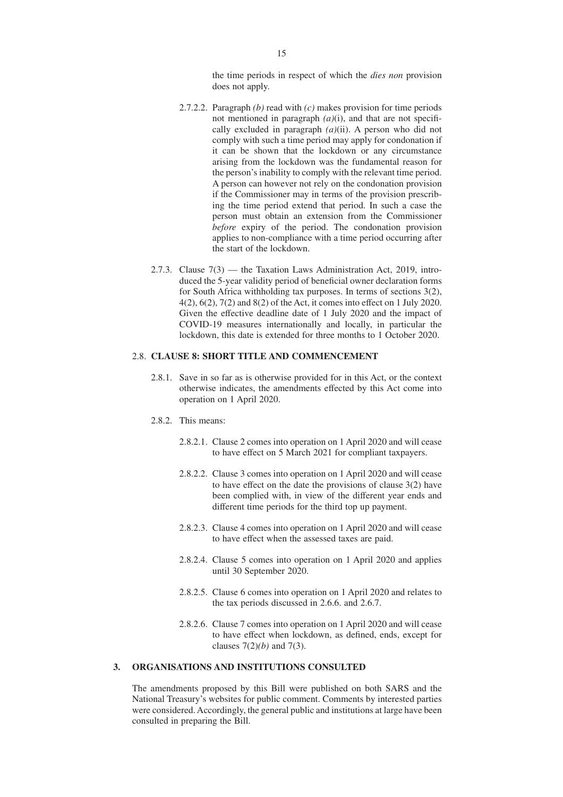the time periods in respect of which the *dies non* provision does not apply.

- 2.7.2.2. Paragraph *(b)* read with *(c)* makes provision for time periods not mentioned in paragraph *(a)*(i), and that are not specifically excluded in paragraph *(a)*(ii). A person who did not comply with such a time period may apply for condonation if it can be shown that the lockdown or any circumstance arising from the lockdown was the fundamental reason for the person's inability to comply with the relevant time period. A person can however not rely on the condonation provision if the Commissioner may in terms of the provision prescribing the time period extend that period. In such a case the person must obtain an extension from the Commissioner *before* expiry of the period. The condonation provision applies to non-compliance with a time period occurring after the start of the lockdown.
- 2.7.3. Clause 7(3) the Taxation Laws Administration Act, 2019, introduced the 5-year validity period of beneficial owner declaration forms for South Africa withholding tax purposes. In terms of sections 3(2), 4(2), 6(2), 7(2) and 8(2) of the Act, it comes into effect on 1 July 2020. Given the effective deadline date of 1 July 2020 and the impact of COVID-19 measures internationally and locally, in particular the lockdown, this date is extended for three months to 1 October 2020.

# 2.8. **CLAUSE 8: SHORT TITLE AND COMMENCEMENT**

- 2.8.1. Save in so far as is otherwise provided for in this Act, or the context otherwise indicates, the amendments effected by this Act come into operation on 1 April 2020.
- 2.8.2. This means:
	- 2.8.2.1. Clause 2 comes into operation on 1 April 2020 and will cease to have effect on 5 March 2021 for compliant taxpayers.
	- 2.8.2.2. Clause 3 comes into operation on 1 April 2020 and will cease to have effect on the date the provisions of clause 3(2) have been complied with, in view of the different year ends and different time periods for the third top up payment.
	- 2.8.2.3. Clause 4 comes into operation on 1 April 2020 and will cease to have effect when the assessed taxes are paid.
	- 2.8.2.4. Clause 5 comes into operation on 1 April 2020 and applies until 30 September 2020.
	- 2.8.2.5. Clause 6 comes into operation on 1 April 2020 and relates to the tax periods discussed in 2.6.6. and 2.6.7.
	- 2.8.2.6. Clause 7 comes into operation on 1 April 2020 and will cease to have effect when lockdown, as defined, ends, except for clauses 7(2)*(b)* and 7(3).

## **3. ORGANISATIONS AND INSTITUTIONS CONSULTED**

The amendments proposed by this Bill were published on both SARS and the National Treasury's websites for public comment. Comments by interested parties were considered. Accordingly, the general public and institutions at large have been consulted in preparing the Bill.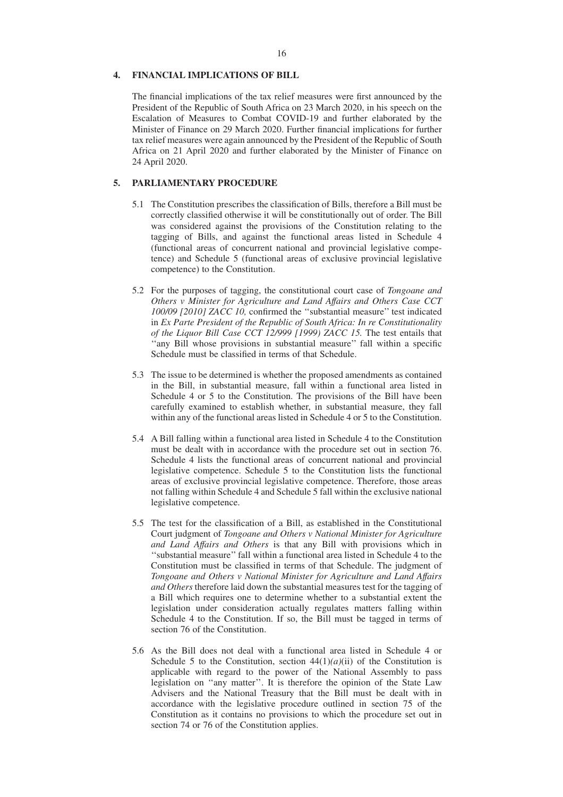### 16

# **4. FINANCIAL IMPLICATIONS OF BILL**

The financial implications of the tax relief measures were first announced by the President of the Republic of South Africa on 23 March 2020, in his speech on the Escalation of Measures to Combat COVID-19 and further elaborated by the Minister of Finance on 29 March 2020. Further financial implications for further tax relief measures were again announced by the President of the Republic of South Africa on 21 April 2020 and further elaborated by the Minister of Finance on 24 April 2020.

## **5. PARLIAMENTARY PROCEDURE**

- 5.1 The Constitution prescribes the classification of Bills, therefore a Bill must be correctly classified otherwise it will be constitutionally out of order. The Bill was considered against the provisions of the Constitution relating to the tagging of Bills, and against the functional areas listed in Schedule 4 (functional areas of concurrent national and provincial legislative competence) and Schedule 5 (functional areas of exclusive provincial legislative competence) to the Constitution.
- 5.2 For the purposes of tagging, the constitutional court case of *Tongoane and Others v Minister for Agriculture and Land Affairs and Others Case CCT 100/09 [2010] ZACC 10,* confirmed the ''substantial measure'' test indicated in *Ex Parte President of the Republic of South Africa: In re Constitutionality of the Liquor Bill Case CCT 12/999 [1999) ZACC 15.* The test entails that ''any Bill whose provisions in substantial measure'' fall within a specific Schedule must be classified in terms of that Schedule.
- 5.3 The issue to be determined is whether the proposed amendments as contained in the Bill, in substantial measure, fall within a functional area listed in Schedule 4 or 5 to the Constitution. The provisions of the Bill have been carefully examined to establish whether, in substantial measure, they fall within any of the functional areas listed in Schedule 4 or 5 to the Constitution.
- 5.4 A Bill falling within a functional area listed in Schedule 4 to the Constitution must be dealt with in accordance with the procedure set out in section 76. Schedule 4 lists the functional areas of concurrent national and provincial legislative competence. Schedule 5 to the Constitution lists the functional areas of exclusive provincial legislative competence. Therefore, those areas not falling within Schedule 4 and Schedule 5 fall within the exclusive national legislative competence.
- 5.5 The test for the classification of a Bill, as established in the Constitutional Court judgment of *Tongoane and Others v National Minister for Agriculture and Land Affairs and Others* is that any Bill with provisions which in ''substantial measure'' fall within a functional area listed in Schedule 4 to the Constitution must be classified in terms of that Schedule. The judgment of *Tongoane and Others v National Minister for Agriculture and Land Affairs and Others* therefore laid down the substantial measures test for the tagging of a Bill which requires one to determine whether to a substantial extent the legislation under consideration actually regulates matters falling within Schedule 4 to the Constitution. If so, the Bill must be tagged in terms of section 76 of the Constitution.
- 5.6 As the Bill does not deal with a functional area listed in Schedule 4 or Schedule 5 to the Constitution, section  $44(1)(a)(ii)$  of the Constitution is applicable with regard to the power of the National Assembly to pass legislation on ''any matter''. It is therefore the opinion of the State Law Advisers and the National Treasury that the Bill must be dealt with in accordance with the legislative procedure outlined in section 75 of the Constitution as it contains no provisions to which the procedure set out in section 74 or 76 of the Constitution applies.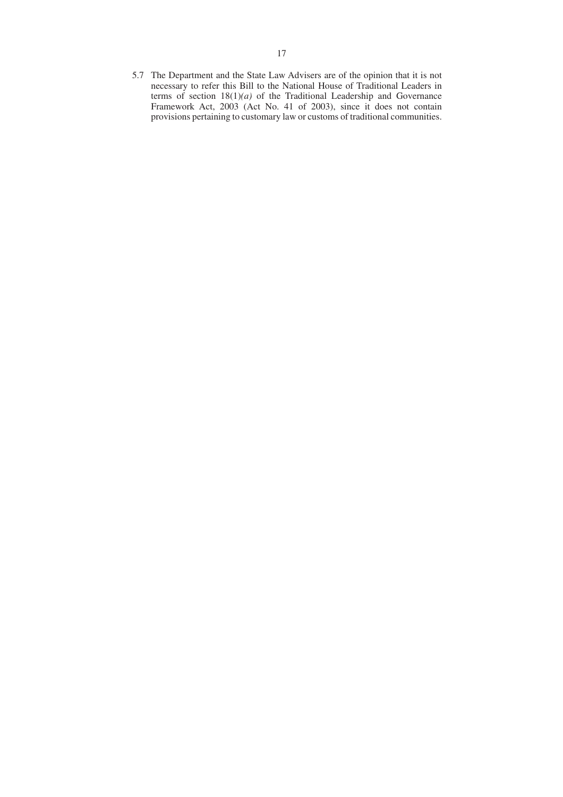5.7 The Department and the State Law Advisers are of the opinion that it is not necessary to refer this Bill to the National House of Traditional Leaders in terms of section 18(1)*(a)* of the Traditional Leadership and Governance Framework Act, 2003 (Act No. 41 of 2003), since it does not contain provisions pertaining to customary law or customs of traditional communities.